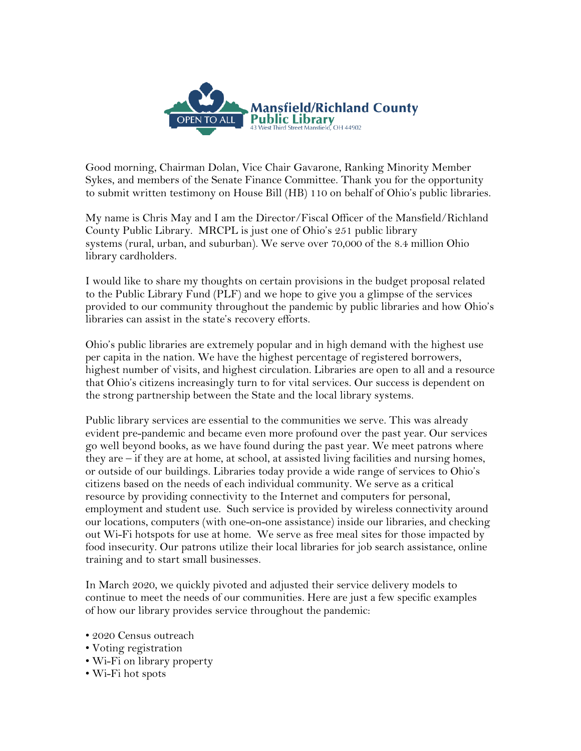

Good morning, Chairman Dolan, Vice Chair Gavarone, Ranking Minority Member Sykes, and members of the Senate Finance Committee. Thank you for the opportunity to submit written testimony on House Bill (HB) 110 on behalf of Ohio's public libraries.

My name is Chris May and I am the Director/Fiscal Officer of the Mansfield/Richland County Public Library. MRCPL is just one of Ohio's 251 public library systems (rural, urban, and suburban). We serve over 70,000 of the 8.4 million Ohio library cardholders.

I would like to share my thoughts on certain provisions in the budget proposal related to the Public Library Fund (PLF) and we hope to give you a glimpse of the services provided to our community throughout the pandemic by public libraries and how Ohio's libraries can assist in the state's recovery efforts.

Ohio's public libraries are extremely popular and in high demand with the highest use per capita in the nation. We have the highest percentage of registered borrowers, highest number of visits, and highest circulation. Libraries are open to all and a resource that Ohio's citizens increasingly turn to for vital services. Our success is dependent on the strong partnership between the State and the local library systems.

Public library services are essential to the communities we serve. This was already evident pre-pandemic and became even more profound over the past year. Our services go well beyond books, as we have found during the past year. We meet patrons where they are – if they are at home, at school, at assisted living facilities and nursing homes, or outside of our buildings. Libraries today provide a wide range of services to Ohio's citizens based on the needs of each individual community. We serve as a critical resource by providing connectivity to the Internet and computers for personal, employment and student use. Such service is provided by wireless connectivity around our locations, computers (with one-on-one assistance) inside our libraries, and checking out Wi-Fi hotspots for use at home. We serve as free meal sites for those impacted by food insecurity. Our patrons utilize their local libraries for job search assistance, online training and to start small businesses.

In March 2020, we quickly pivoted and adjusted their service delivery models to continue to meet the needs of our communities. Here are just a few specific examples of how our library provides service throughout the pandemic:

- 2020 Census outreach
- Voting registration
- Wi-Fi on library property
- Wi-Fi hot spots